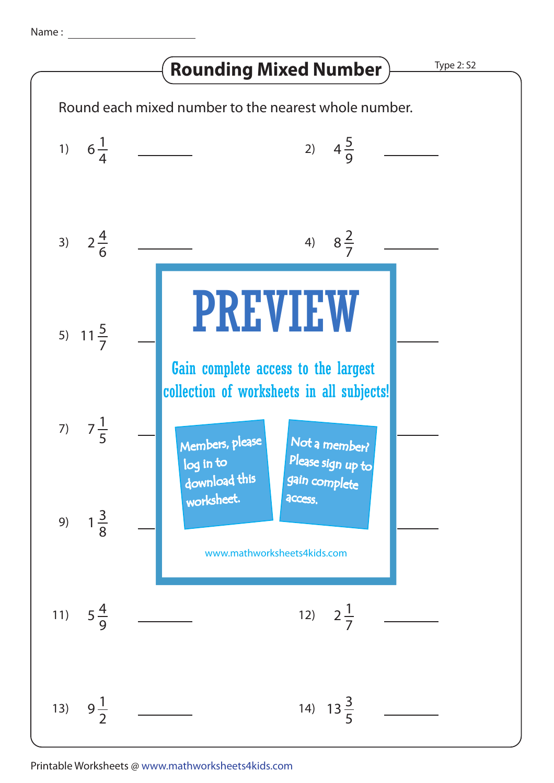## **Rounding Mixed Number > Type 2: S2**